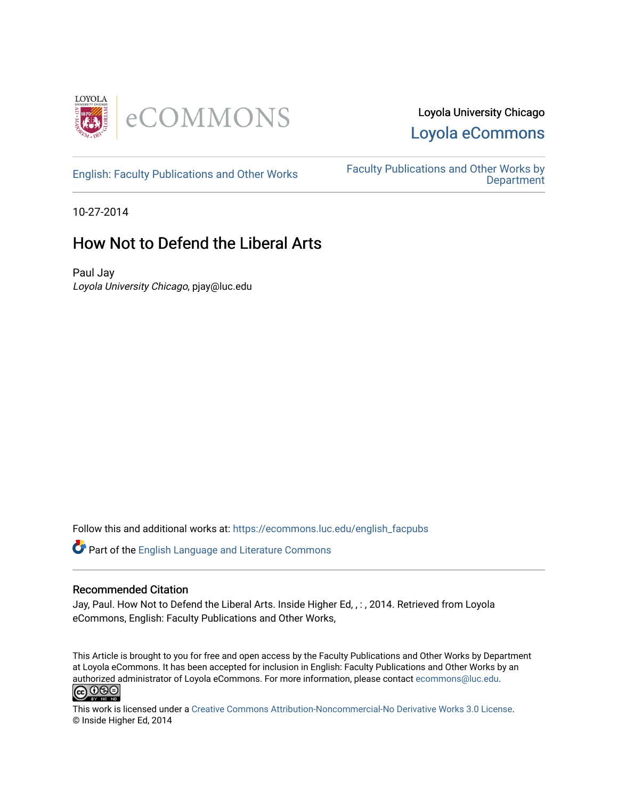

### Loyola University Chicago [Loyola eCommons](https://ecommons.luc.edu/)

[English: Faculty Publications and Other Works](https://ecommons.luc.edu/english_facpubs) Faculty Publications and Other Works by **Department** 

10-27-2014

## How Not to Defend the Liberal Arts

Paul Jay Loyola University Chicago, pjay@luc.edu

Follow this and additional works at: [https://ecommons.luc.edu/english\\_facpubs](https://ecommons.luc.edu/english_facpubs?utm_source=ecommons.luc.edu%2Fenglish_facpubs%2F37&utm_medium=PDF&utm_campaign=PDFCoverPages) 

Part of the [English Language and Literature Commons](http://network.bepress.com/hgg/discipline/455?utm_source=ecommons.luc.edu%2Fenglish_facpubs%2F37&utm_medium=PDF&utm_campaign=PDFCoverPages)

#### Recommended Citation

Jay, Paul. How Not to Defend the Liberal Arts. Inside Higher Ed, , : , 2014. Retrieved from Loyola eCommons, English: Faculty Publications and Other Works,

This Article is brought to you for free and open access by the Faculty Publications and Other Works by Department at Loyola eCommons. It has been accepted for inclusion in English: Faculty Publications and Other Works by an authorized administrator of Loyola eCommons. For more information, please contact [ecommons@luc.edu](mailto:ecommons@luc.edu).<br>  $\bigcirc$  000



This work is licensed under a [Creative Commons Attribution-Noncommercial-No Derivative Works 3.0 License.](https://creativecommons.org/licenses/by-nc-nd/3.0/) © Inside Higher Ed, 2014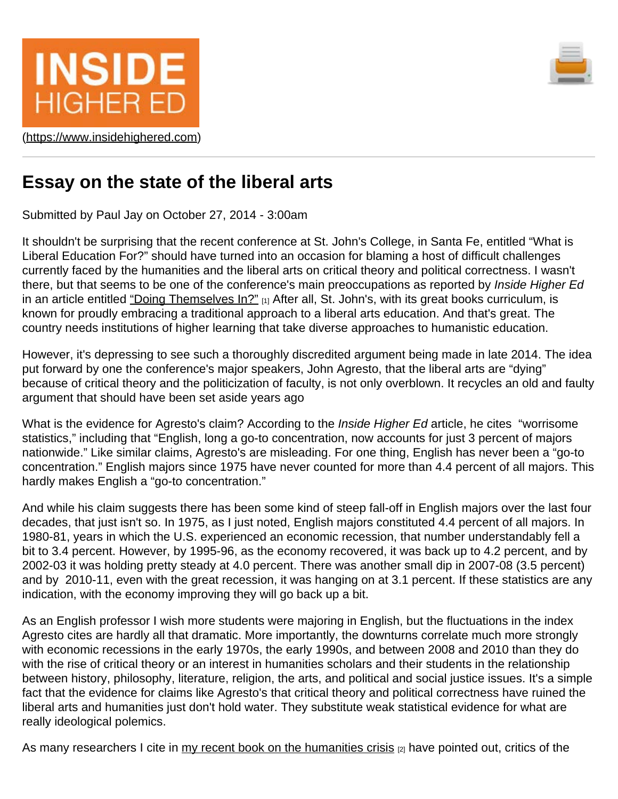



([https://www.insidehighered.com](https://www.insidehighered.com/))

# **Essay on the state of the liberal arts**

Submitted by Paul Jay on October 27, 2014 - 3:00am

It shouldn't be surprising that the recent conference at St. John's College, in Santa Fe, entitled "What is Liberal Education For?" should have turned into an occasion for blaming a host of difficult challenges currently faced by the humanities and the liberal arts on critical theory and political correctness. I wasn't there, but that seems to be one of the conference's main preoccupations as reported by *Inside Higher Ed* in an article entitled ["Doing Themselves In?"](https://www.insidehighered.com/news/2014/10/20/conference-speakers-say-liberal-arts-must-return-purer-form-survive) [1] After all, St. John's, with its great books curriculum, is known for proudly embracing a traditional approach to a liberal arts education. And that's great. The country needs institutions of higher learning that take diverse approaches to humanistic education.

However, it's depressing to see such a thoroughly discredited argument being made in late 2014. The idea put forward by one the conference's major speakers, John Agresto, that the liberal arts are "dying" because of critical theory and the politicization of faculty, is not only overblown. It recycles an old and faulty argument that should have been set aside years ago

What is the evidence for Agresto's claim? According to the *Inside Higher Ed* article, he cites "worrisome statistics," including that "English, long a go-to concentration, now accounts for just 3 percent of majors nationwide." Like similar claims, Agresto's are misleading. For one thing, English has never been a "go-to concentration." English majors since 1975 have never counted for more than 4.4 percent of all majors. This hardly makes English a "go-to concentration."

And while his claim suggests there has been some kind of steep fall-off in English majors over the last four decades, that just isn't so. In 1975, as I just noted, English majors constituted 4.4 percent of all majors. In 1980-81, years in which the U.S. experienced an economic recession, that number understandably fell a bit to 3.4 percent. However, by 1995-96, as the economy recovered, it was back up to 4.2 percent, and by 2002-03 it was holding pretty steady at 4.0 percent. There was another small dip in 2007-08 (3.5 percent) and by 2010-11, even with the great recession, it was hanging on at 3.1 percent. If these statistics are any indication, with the economy improving they will go back up a bit.

As an English professor I wish more students were majoring in English, but the fluctuations in the index Agresto cites are hardly all that dramatic. More importantly, the downturns correlate much more strongly with economic recessions in the early 1970s, the early 1990s, and between 2008 and 2010 than they do with the rise of critical theory or an interest in humanities scholars and their students in the relationship between history, philosophy, literature, religion, the arts, and political and social justice issues. It's a simple fact that the evidence for claims like Agresto's that critical theory and political correctness have ruined the liberal arts and humanities just don't hold water. They substitute weak statistical evidence for what are really ideological polemics.

As many researchers I cite in [my recent book on the humanities crisis](http://www.palgrave.com/page/detail/the-humanities-paul-jay/?K=9781137403308)  $[2]$  have pointed out, critics of the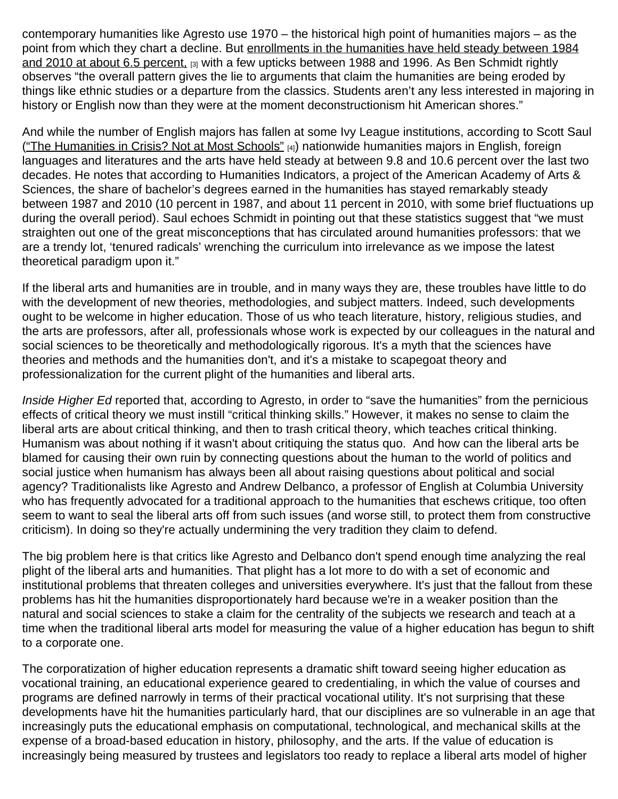contemporary humanities like Agresto use 1970 – the historical high point of humanities majors – as the point from which they chart a decline. But [enrollments in the humanities have held steady between 1984](http://benschmidt.org/Degrees/#HumRatio) [and 2010 at about 6.5 percent,](http://benschmidt.org/Degrees/#HumRatio) [3] with a few upticks between 1988 and 1996. As Ben Schmidt rightly observes "the overall pattern gives the lie to arguments that claim the humanities are being eroded by things like ethnic studies or a departure from the classics. Students aren't any less interested in majoring in history or English now than they were at the moment deconstructionism hit American shores."

And while the number of English majors has fallen at some Ivy League institutions, according to Scott Saul (["The Humanities in Crisis? Not at Most Schools"](http://www.nytimes.com/2013/07/04/opinion/the-humanities-in-crisis-not-at-most-schools.html?_r=0) [4]) nationwide humanities majors in English, foreign languages and literatures and the arts have held steady at between 9.8 and 10.6 percent over the last two decades. He notes that according to Humanities Indicators, a project of the American Academy of Arts & Sciences, the share of bachelor's degrees earned in the humanities has stayed remarkably steady between 1987 and 2010 (10 percent in 1987, and about 11 percent in 2010, with some brief fluctuations up during the overall period). Saul echoes Schmidt in pointing out that these statistics suggest that "we must straighten out one of the great misconceptions that has circulated around humanities professors: that we are a trendy lot, 'tenured radicals' wrenching the curriculum into irrelevance as we impose the latest theoretical paradigm upon it."

If the liberal arts and humanities are in trouble, and in many ways they are, these troubles have little to do with the development of new theories, methodologies, and subject matters. Indeed, such developments ought to be welcome in higher education. Those of us who teach literature, history, religious studies, and the arts are professors, after all, professionals whose work is expected by our colleagues in the natural and social sciences to be theoretically and methodologically rigorous. It's a myth that the sciences have theories and methods and the humanities don't, and it's a mistake to scapegoat theory and professionalization for the current plight of the humanities and liberal arts.

*Inside Higher Ed* reported that, according to Agresto, in order to "save the humanities" from the pernicious effects of critical theory we must instill "critical thinking skills." However, it makes no sense to claim the liberal arts are about critical thinking, and then to trash critical theory, which teaches critical thinking. Humanism was about nothing if it wasn't about critiquing the status quo. And how can the liberal arts be blamed for causing their own ruin by connecting questions about the human to the world of politics and social justice when humanism has always been all about raising questions about political and social agency? Traditionalists like Agresto and Andrew Delbanco, a professor of English at Columbia University who has frequently advocated for a traditional approach to the humanities that eschews critique, too often seem to want to seal the liberal arts off from such issues (and worse still, to protect them from constructive criticism). In doing so they're actually undermining the very tradition they claim to defend.

The big problem here is that critics like Agresto and Delbanco don't spend enough time analyzing the real plight of the liberal arts and humanities. That plight has a lot more to do with a set of economic and institutional problems that threaten colleges and universities everywhere. It's just that the fallout from these problems has hit the humanities disproportionately hard because we're in a weaker position than the natural and social sciences to stake a claim for the centrality of the subjects we research and teach at a time when the traditional liberal arts model for measuring the value of a higher education has begun to shift to a corporate one.

The corporatization of higher education represents a dramatic shift toward seeing higher education as vocational training, an educational experience geared to credentialing, in which the value of courses and programs are defined narrowly in terms of their practical vocational utility. It's not surprising that these developments have hit the humanities particularly hard, that our disciplines are so vulnerable in an age that increasingly puts the educational emphasis on computational, technological, and mechanical skills at the expense of a broad-based education in history, philosophy, and the arts. If the value of education is increasingly being measured by trustees and legislators too ready to replace a liberal arts model of higher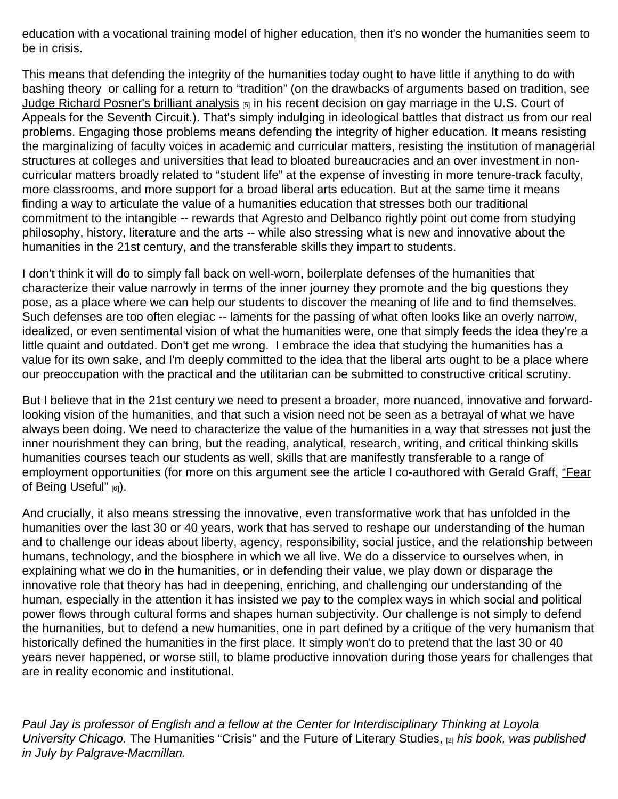education with a vocational training model of higher education, then it's no wonder the humanities seem to be in crisis.

This means that defending the integrity of the humanities today ought to have little if anything to do with bashing theory or calling for a return to "tradition" (on the drawbacks of arguments based on tradition, see [Judge Richard Posner's brilliant analysis](http://www.slate.com/blogs/outward/2014/08/27/listen_to_judge_richard_posner_destroy_arguments_against_gay_marriage.html) [5] in his recent decision on gay marriage in the U.S. Court of Appeals for the Seventh Circuit.). That's simply indulging in ideological battles that distract us from our real problems. Engaging those problems means defending the integrity of higher education. It means resisting the marginalizing of faculty voices in academic and curricular matters, resisting the institution of managerial structures at colleges and universities that lead to bloated bureaucracies and an over investment in noncurricular matters broadly related to "student life" at the expense of investing in more tenure-track faculty, more classrooms, and more support for a broad liberal arts education. But at the same time it means finding a way to articulate the value of a humanities education that stresses both our traditional commitment to the intangible -- rewards that Agresto and Delbanco rightly point out come from studying philosophy, history, literature and the arts -- while also stressing what is new and innovative about the humanities in the 21st century, and the transferable skills they impart to students.

I don't think it will do to simply fall back on well-worn, boilerplate defenses of the humanities that characterize their value narrowly in terms of the inner journey they promote and the big questions they pose, as a place where we can help our students to discover the meaning of life and to find themselves. Such defenses are too often elegiac -- laments for the passing of what often looks like an overly narrow, idealized, or even sentimental vision of what the humanities were, one that simply feeds the idea they're a little quaint and outdated. Don't get me wrong. I embrace the idea that studying the humanities has a value for its own sake, and I'm deeply committed to the idea that the liberal arts ought to be a place where our preoccupation with the practical and the utilitarian can be submitted to constructive critical scrutiny.

But I believe that in the 21st century we need to present a broader, more nuanced, innovative and forwardlooking vision of the humanities, and that such a vision need not be seen as a betrayal of what we have always been doing. We need to characterize the value of the humanities in a way that stresses not just the inner nourishment they can bring, but the reading, analytical, research, writing, and critical thinking skills humanities courses teach our students as well, skills that are manifestly transferable to a range of employment opportunities (for more on this argument see the article I co-authored with Gerald Graff, ["Fear](https://www.insidehighered.com/views/2012/01/05/essay-new-approach-defend-value-humanities) Of Being Useful" [6]).

And crucially, it also means stressing the innovative, even transformative work that has unfolded in the humanities over the last 30 or 40 years, work that has served to reshape our understanding of the human and to challenge our ideas about liberty, agency, responsibility, social justice, and the relationship between humans, technology, and the biosphere in which we all live. We do a disservice to ourselves when, in explaining what we do in the humanities, or in defending their value, we play down or disparage the innovative role that theory has had in deepening, enriching, and challenging our understanding of the human, especially in the attention it has insisted we pay to the complex ways in which social and political power flows through cultural forms and shapes human subjectivity. Our challenge is not simply to defend the humanities, but to defend a new humanities, one in part defined by a critique of the very humanism that historically defined the humanities in the first place. It simply won't do to pretend that the last 30 or 40 years never happened, or worse still, to blame productive innovation during those years for challenges that are in reality economic and institutional.

*Paul Jay is professor of English and a fellow at the Center for Interdisciplinary Thinking at Loyola University Chicago.* [The Humanities "Crisis" and the Future of Literary Studies,](http://www.palgrave.com/page/detail/the-humanities-paul-jay/?K=9781137403308) [2] *his book, was published in July by Palgrave-Macmillan.*